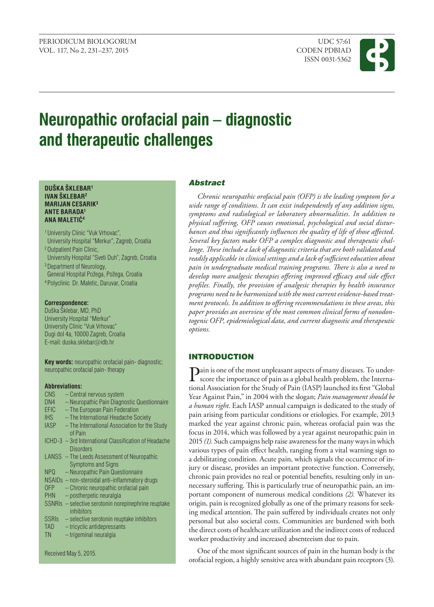ISSN 0031-5362



# **Neuropathic orofacial pain – diagnostic and therapeutic challenges**

#### **DUŠKA ŠKLEBAR1 IVAN ŠKLEBAR2 MARIJAN CESARIK3 ANTE BARADA1 ANA MALETIĆ<sup>4</sup>**

1 University Clinic "Vuk Vrhovac",

- University Hospital "Merkur", Zagreb, Croatia
- 2 Outpatient Pain Clinic,
- University Hospital "Sveti Duh", Zagreb, Croatia <sup>3</sup> Department of Neurology,
- General Hospital Požega, Požega, Croatia 4 Polyclinic Dr. Maletic, Daruvar, Croatia

#### **Correspondence:**

Duška Šklebar, MD, PhD University Hospital "Merkur" University Clinic "Vuk Vrhovac" Dugi dol 4a, 10000 Zagreb, Croatia E-mail: [duska.sklebar](mailto:duska.sklebar@idb.hr)@idb.hr

**Key words:** neuropathic orofacial pain- diagnostic; neuropathic orofacial pain- therapy

#### **Abbreviations:**

CNS – Central nervous system DN4 – Neuropathic Pain Diagnostic Questionnaire<br>EFIC – The European Pain Federation  $-$  The European Pain Federation IHS – The International Headache Society IASP – The International Association for the Study of Pain ICHD-3 – 3rd International Classification of Headache **Disorders** LANSS – The Leeds Assessment of Neuropathic Symptoms and Signs NPQ – Neuropathic Pain Questionnaire NSAIDs – non-steroidal anti-inflammatory drugs OFP – Chronic neuropathic orofacial pain PHN – postherpetic neuralgia SSNRIs – selective serotonin norepinephrine reuptake inhibitors SSRIs – selective serotonin reuptake inhibitors TAD – tricyclic antidepressants TN – trigeminal neuralgia Received May 5, 2015.

# Abstract

*Chronic neuropathic orofacial pain (OFP) is the leading symptom for a wide range of conditions. It can exist independently of any addition signs, symptoms and radiological or laboratory abnormalities. In addition to physical suffering, OFP causes emotional, psychological and social disturbances and thus significantly influences the quality of life of those affected. Several key factors make OFP a complex diagnostic and therapeutic challenge. These include a lack of diagnostic criteria that are both validated and readily applicable in clinical settings and a lack of sufficient education about pain in undergraduate medical training programs. There is also a need to develop more analgesic therapies offering improved efficacy and side effect profiles. Finally, the provision of analgesic therapies by health insurance programs need to be harmonized with the most current evidence-based treatment protocols. In addition to offering recommendations in these areas, this paper provides an overview of the most common clinical forms of nonodontogenic OFP, epidemiological data, and current diagnostic and therapeutic options.*

# INTRODUCTION

Pain is one of the most unpleasant aspects of many diseases. To underscore the importance of pain as a global health problem, the International Association for the Study of Pain (IASP) launched its first "Global Year Against Pain," in 2004 with the slogan; *Pain management should be a human right*. Each IASP annual campaign is dedicated to the study of pain arising from particular conditions or etiologies. For example, 2013 marked the year against chronic pain, whereas orofacial pain was the focus in 2014, which was followed by a year against neuropathic pain in 2015 *(1).* Such campaigns help raise awareness for the many ways in which various types of pain effect health, ranging from a vital warning sign to a debilitating condition. Acute pain, which signals the occurrence of injury or disease, provides an important protective function. Conversely, chronic pain provides no real or potential benefits, resulting only in unnecessary suffering. This is particularly true of neuropathic pain, an important component of numerous medical conditions *(2).* Whatever its origin, pain is recognized globally as one of the primary reasons for seeking medical attention. The pain suffered by individuals creates not only personal but also societal costs. Communities are burdened with both the direct costs of healthcare utilization and the indirect costs of reduced worker productivity and increased absenteeism due to pain.

One of the most significant sources of pain in the human body is the orofacial region, a highly sensitive area with abundant pain receptors (3).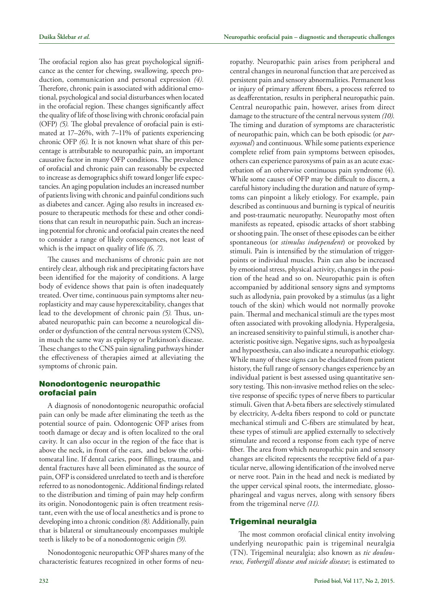The orofacial region also has great psychological significance as the center for chewing, swallowing, speech production, communication and personal expression *(4).* Therefore, chronic pain is associated with additional emotional, psychological and social disturbances when located in the orofacial region. These changes significantly affect the quality of life of those living with chronic orofacial pain (OFP) *(5).* The global prevalence of orofacial pain is estimated at 17–26%, with 7–11% of patients experiencing chronic OFP *(6).* It is not known what share of this percentage is attributable to neuropathic pain, an important causative factor in many OFP conditions. The prevalence of orofacial and chronic pain can reasonably be expected to increase as demographics shift toward longer life expectancies. An aging population includes an increased number of patients living with chronic and painful conditions such as diabetes and cancer. Aging also results in increased exposure to therapeutic methods for these and other conditions that can result in neuropathic pain. Such an increasing potential for chronic and orofacial pain creates the need to consider a range of likely consequences, not least of which is the impact on quality of life *(6, 7).*

The causes and mechanisms of chronic pain are not entirely clear, although risk and precipitating factors have been identified for the majority of conditions. A large body of evidence shows that pain is often inadequately treated. Over time, continuous pain symptoms alter neuroplasticity and may cause hyperexcitability, changes that lead to the development of chronic pain *(5).* Thus, unabated neuropathic pain can become a neurological disorder or dysfunction of the central nervous system (CNS), in much the same way as epilepsy or Parkinson's disease. These changes to the CNS pain signaling pathways hinder the effectiveness of therapies aimed at alleviating the symptoms of chronic pain.

# Nonodontogenic neuropathic orofacial pain

A diagnosis of nonodontogenic neuropathic orofacial pain can only be made after eliminating the teeth as the potential source of pain. Odontogenic OFP arises from tooth damage or decay and is often localized to the oral cavity. It can also occur in the region of the face that is above the neck, in front of the ears, and below the orbitomeatal line. If dental caries, poor fillings, trauma, and dental fractures have all been eliminated as the source of pain, OFP is considered unrelated to teeth and is therefore referred to as nonodontogenic. Additional findings related to the distribution and timing of pain may help confirm its origin. Nonodontogenic pain is often treatment resistant, even with the use of local anesthetics and is prone to developing into a chronic condition *(8).* Additionally, pain that is bilateral or simultaneously encompasses multiple teeth is likely to be of a nonodontogenic origin *(9).*

Nonodontogenic neuropathic OFP shares many of the characteristic features recognized in other forms of neuropathy. Neuropathic pain arises from peripheral and central changes in neuronal function that are perceived as persistent pain and sensory abnormalities. Permanent loss or injury of primary afferent fibers, a process referred to as deafferentation, results in peripheral neuropathic pain. Central neuropathic pain, however, arises from direct damage to the structure of the central nervous system *(10).* The timing and duration of symptoms are characteristic of neuropathic pain, which can be both episodic (or *paroxysmal*) and continuous. While some patients experience complete relief from pain symptoms between episodes, others can experience paroxysms of pain as an acute exacerbation of an otherwise continuous pain syndrome (4). While some causes of OFP may be difficult to discern, a careful history including the duration and nature of symptoms can pinpoint a likely etiology. For example, pain described as continuous and burning is typical of neuritis and post-traumatic neuropathy. Neuropathy most often manifests as repeated, episodic attacks of short stabbing or shooting pain. The onset of these episodes can be either spontaneous (or *stimulus independent*) or provoked by stimuli. Pain is intensified by the stimulation of triggerpoints or individual muscles. Pain can also be increased by emotional stress, physical activity, changes in the position of the head and so on. Neuropathic pain is often accompanied by additional sensory signs and symptoms such as allodynia, pain provoked by a stimulus (as a light touch of the skin) which would not normally provoke pain. Thermal and mechanical stimuli are the types most often associated with provoking allodynia. Hyperalgesia, an increased sensitivity to painful stimuli, is another characteristic positive sign. Negative signs, such as hypoalgesia and hypoesthesia, can also indicate a neuropathic etiology. While many of these signs can be elucidated from patient history, the full range of sensory changes experience by an individual patient is best assessed using quantitative sensory testing. This non-invasive method relies on the selective response of specific types of nerve fibers to particular stimuli. Given that A-beta fibers are selectively stimulated by electricity, A-delta fibers respond to cold or punctate mechanical stimuli and C-fibers are stimulated by heat, these types of stimuli are applied externally to selectively stimulate and record a response from each type of nerve fiber. The area from which neuropathic pain and sensory changes are elicited represents the receptive field of a particular nerve, allowing identification of the involved nerve or nerve root. Pain in the head and neck is mediated by the upper cervical spinal roots, the intermediate, glossopharingeal and vagus nerves, along with sensory fibers from the trigeminal nerve *(11).*

# Trigeminal neuralgia

The most common orofacial clinical entity involving underlying neuropathic pain is trigeminal neuralgia (TN). Trigeminal neuralgia; also known as *tic douloureux, Fothergill disease and suicide disease*; is estimated to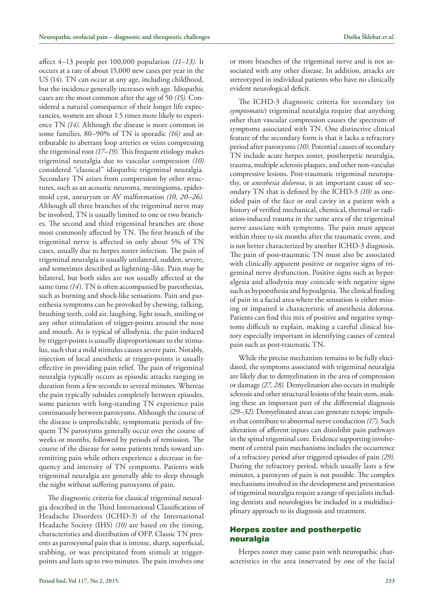affect 4–13 people per 100,000 population *(11–13).* It occurs at a rate of about 15,000 new cases per year in the US (14). TN can occur at any age, including childhood, but the incidence generally increases with age. Idiopathic cases are the most common after the age of 50 *(15).* Considered a natural consequence of their longer life expectancies, women are about 1.5 times more likely to experience TN *(14).* Although the disease is more common in some families, 80–90% of TN is sporadic *(16)* and attributable to aberrant loop arteries or veins compressing the trigeminal root *(17–19).* This frequent etiology makes trigeminal neuralgia due to vascular compression *(10)* considered "classical" idiopathic trigeminal neuralgia. Secondary TN arises from compression by other structures, such as an acoustic neuroma, meningioma, epidermoid cyst, aneurysm or AV malformation *(10, 20–26).* Although all three branches of the trigeminal nerve may be involved, TN is usually limited to one or two branches. The second and third trigeminal branches are those most commonly affected by TN. The first branch of the trigeminal nerve is affected in only about 5% of TN cases, usually due to herpes zoster infection. The pain of trigeminal neuralgia is usually unilateral, sudden, severe, and sometimes described as lightning–like. Pain may be bilateral, but both sides are not usually affected at the same time *(14*). TN is often accompanied by paresthesias, such as burning and shock-like sensations. Pain and paresthesia symptoms can be provoked by chewing, talking, brushing teeth, cold air, laughing, light touch, smiling or any other stimulation of trigger-points around the nose and mouth. As is typical of allodynia, the pain induced by trigger-points is usually disproportionate to the stimulus, such that a mild stimulus causes severe pain. Notably, injection of local anesthetic at trigger-points is usually effective in providing pain relief. The pain of trigeminal neuralgia typically occurs as episodic attacks ranging in duration from a few seconds to several minutes. Whereas the pain typically subsides completely between episodes, some patients with long-standing TN experience pain continuously between paroxysms. Although the course of the disease is unpredictable, symptomatic periods of frequent TN paroxysms generally occur over the course of weeks or months, followed by periods of remission. The course of the disease for some patients tends toward unremitting pain while others experience a decrease in frequency and intensity of TN symptoms. Patients with trigeminal neuralgia are generally able to sleep through the night without suffering paroxysms of pain.

The diagnostic criteria for classical trigeminal neuralgia described in the Third International Classification of Headache Disorders (ICHD-3) of the International Headache Society (IHS) *(10)* are based on the timing, characteristics and distribution of OFP. Classic TN presents as paroxysmal pain that is intense, sharp, superficial, stabbing, or was precipitated from stimuli at triggerpoints and lasts up to two minutes. The pain involves one or more branches of the trigeminal nerve and is not associated with any other disease. In addition, attacks are stereotyped in individual patients who have no clinically evident neurological deficit.

The ICHD-3 diagnostic criteria for secondary (or *symptomatic*) trigeminal neuralgia require that anything other than vascular compression causes the spectrum of symptoms associated with TN. One distinctive clinical feature of the secondary form is that it lacks a refractory period after paroxysms *(10).* Potential causes of secondary TN include acute herpes zoster, postherpetic neuralgia, trauma, multiple sclerosis plaques, and other non-vascular compressive lesions. Post-traumatic trigeminal neuropathy, or *anesthesia dolorosa*, is an important cause of secondary TN that is defined by the ICHD-3 *(10)* as onesided pain of the face or oral cavity in a patient with a history of verified mechanical, chemical, thermal or radiation-induced trauma in the same area of the trigeminal nerve associate with symptoms. The pain must appear within three to six months after the traumatic event, and is not better characterized by another ICHD-3 diagnosis. The pain of post-traumatic TN must also be associated with clinically apparent positive or negative signs of trigeminal nerve dysfunction. Positive signs such as hyperalgesia and allodynia may coincide with negative signs such as hypoesthesia and hypoalgesia. The clinical finding of pain in a facial area where the sensation is either missing or impaired is characteristic of anesthesia dolorosa. Patients can find this mix of positive and negative symptoms difficult to explain, making a careful clinical history especially important in identifying causes of central pain such as post-traumatic TN.

While the precise mechanism remains to be fully elucidated, the symptoms associated with trigeminal neuralgia are likely due to demyelination in the area of compression or damage *(27, 28).* Demyelination also occurs in multiple sclerosis and other structural lesions of the brain stem, making these an important part of the differential diagnosis *(29–32).* Demyelinated areas can generate ectopic impulses that contribute to abnormal nerve conduction *(17).* Such alteration of afferent inputs can disinhibit pain pathways in the spinal trigeminal core. Evidence supporting involvement of central pain mechanisms includes the occurrence of a refractory period after triggered episodes of pain *(29).* During the refractory period, which usually lasts a few minutes, a paroxysm of pain is not possible. The complex mechanisms involved in the development and presentation of trigeminal neuralgia require a range of specialists including dentists and neurologists be included in a multidisciplinary approach to its diagnosis and treatment.

# Herpes zoster and postherpetic neuralgia

Herpes zoster may cause pain with neuropathic characteristics in the area innervated by one of the facial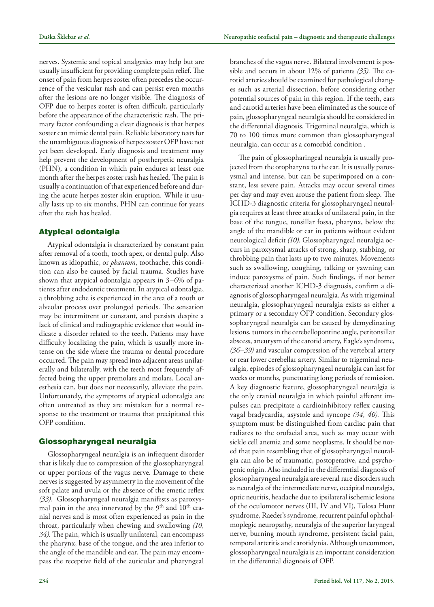nerves. Systemic and topical analgesics may help but are usually insufficient for providing complete pain relief. The onset of pain from herpes zoster often precedes the occurrence of the vesicular rash and can persist even months after the lesions are no longer visible. The diagnosis of OFP due to herpes zoster is often difficult, particularly before the appearance of the characteristic rash. The primary factor confounding a clear diagnosis is that herpes zoster can mimic dental pain. Reliable laboratory tests for the unambiguous diagnosis of herpes zoster OFP have not yet been developed. Early diagnosis and treatment may help prevent the development of postherpetic neuralgia (PHN), a condition in which pain endures at least one month after the herpes zoster rash has healed. The pain is usually a continuation of that experienced before and during the acute herpes zoster skin eruption. While it usually lasts up to six months, PHN can continue for years

# Atypical odontalgia

after the rash has healed.

Atypical odontalgia is characterized by constant pain after removal of a tooth, tooth apex, or dental pulp. Also known as idiopathic, or *phantom*, toothache, this condition can also be caused by facial trauma. Studies have shown that atypical odontalgia appears in 3–6% of patients after endodontic treatment. In atypical odontalgia, a throbbing ache is experienced in the area of a tooth or alveolar process over prolonged periods. The sensation may be intermittent or constant, and persists despite a lack of clinical and radiographic evidence that would indicate a disorder related to the teeth. Patients may have difficulty localizing the pain, which is usually more intense on the side where the trauma or dental procedure occurred. The pain may spread into adjacent areas unilaterally and bilaterally, with the teeth most frequently affected being the upper premolars and molars. Local anesthesia can, but does not necessarily, alleviate the pain. Unfortunately, the symptoms of atypical odontalgia are often untreated as they are mistaken for a normal response to the treatment or trauma that precipitated this OFP condition.

# Glossopharyngeal neuralgia

Glossopharyngeal neuralgia is an infrequent disorder that is likely due to compression of the glossopharyngeal or upper portions of the vagus nerve. Damage to these nerves is suggested by asymmetry in the movement of the soft palate and uvula or the absence of the emetic reflex *(33).* Glossopharyngeal neuralgia manifests as paroxysmal pain in the area innervated by the 9<sup>th</sup> and 10<sup>th</sup> cranial nerves and is most often experienced as pain in the throat, particularly when chewing and swallowing *(10, 34).* The pain, which is usually unilateral, can encompass the pharynx, base of the tongue, and the area inferior to the angle of the mandible and ear. The pain may encompass the receptive field of the auricular and pharyngeal branches of the vagus nerve. Bilateral involvement is possible and occurs in about 12% of patients *(35).* The carotid arteries should be examined for pathological changes such as arterial dissection, before considering other potential sources of pain in this region. If the teeth, ears and carotid arteries have been eliminated as the source of pain, glossopharyngeal neuralgia should be considered in the differential diagnosis. Trigeminal neuralgia, which is 70 to 100 times more common than glossopharyngeal neuralgia, can occur as a comorbid condition .

The pain of glossopharingeal neuralgia is usually projected from the oropharynx to the ear. It is usually paroxysmal and intense, but can be superimposed on a constant, less severe pain. Attacks may occur several times per day and may even arouse the patient from sleep. The ICHD-3 diagnostic criteria for glossopharyngeal neuralgia requires at least three attacks of unilateral pain, in the base of the tongue, tonsillar fossa, pharynx, below the angle of the mandible or ear in patients without evident neurological deficit *(10).* Glossopharyngeal neuralgia occurs in paroxysmal attacks of strong, sharp, stabbing, or throbbing pain that lasts up to two minutes. Movements such as swallowing, coughing, talking or yawning can induce paroxysms of pain. Such findings, if not better characterized another ICHD-3 diagnosis, confirm a diagnosis of glossopharyngeal neuralgia. As with trigeminal neuralgia, glossopharyngeal neuralgia exists as either a primary or a secondary OFP condition. Secondary glossopharyngeal neuralgia can be caused by demyelinating lesions, tumors in the cerebellopontine angle, peritonsillar abscess, aneurysm of the carotid artery, Eagle's syndrome, *(36–39)* and vascular compression of the vertebral artery or rear lower cerebellar artery. Similar to trigeminal neuralgia, episodes of glossopharyngeal neuralgia can last for weeks or months, punctuating long periods of remission. A key diagnostic feature, glossopharyngeal neuralgia is the only cranial neuralgia in which painful afferent impulses can precipitate a cardioinhibitory reflex causing vagal bradycardia, asystole and syncope *(34, 40).* This symptom must be distinguished from cardiac pain that radiates to the orofacial area, such as may occur with sickle cell anemia and some neoplasms. It should be noted that pain resembling that of glossopharyngeal neuralgia can also be of traumatic, postoperative, and psychogenic origin. Also included in the differential diagnosis of glossopharyngeal neuralgia are several rare disorders such as neuralgia of the intermediate nerve, occipital neuralgia, optic neuritis, headache due to ipsilateral ischemic lesions of the oculomotor nerves (III, IV and VI), Tolosa Hunt syndrome, Raeder's syndrome, recurrent painful ophthalmoplegic neuropathy, neuralgia of the superior laryngeal nerve, burning mouth syndrome, persistent facial pain, temporal arteritis and carotidynia. Although uncommon, glossopharyngeal neuralgia is an important consideration in the differential diagnosis of OFP.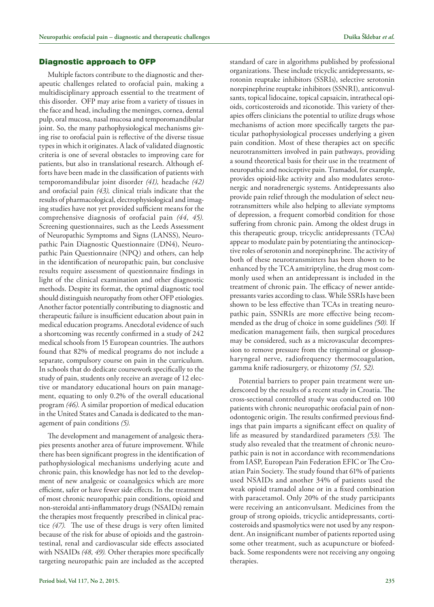#### Diagnostic approach to OFP

Multiple factors contribute to the diagnostic and therapeutic challenges related to orofacial pain, making a multidisciplinary approach essential to the treatment of this disorder. OFP may arise from a variety of tissues in the face and head, including the meninges, cornea, dental pulp, oral mucosa, nasal mucosa and temporomandibular joint. So, the many pathophysiological mechanisms giving rise to orofacial pain is reflective of the diverse tissue types in which it originates. A lack of validated diagnostic criteria is one of several obstacles to improving care for patients, but also in translational research. Although efforts have been made in the classification of patients with temporomandibular joint disorder *(41),* headache *(42)* and orofacial pain *(43),* clinical trials indicate that the results of pharmacological, electrophysiological and imaging studies have not yet provided sufficient means for the comprehensive diagnosis of orofacial pain *(44, 45).* Screening questionnaires, such as the Leeds Assessment of Neuropathic Symptoms and Signs (LANSS), Neuropathic Pain Diagnostic Questionnaire (DN4), Neuropathic Pain Questionnaire (NPQ) and others, can help in the identification of neuropathic pain, but conclusive results require assessment of questionnaire findings in light of the clinical examination and other diagnostic methods. Despite its format, the optimal diagnostic tool should distinguish neuropathy from other OFP etiologies. Another factor potentially contributing to diagnostic and therapeutic failure is insufficient education about pain in medical education programs. Anecdotal evidence of such a shortcoming was recently confirmed in a study of 242 medical schools from 15 European countries. The authors found that 82% of medical programs do not include a separate, compulsory course on pain in the curriculum. In schools that do dedicate coursework specifically to the study of pain, students only receive an average of 12 elective or mandatory educational hours on pain management, equating to only 0.2% of the overall educational program *(46).* A similar proportion of medical education in the United States and Canada is dedicated to the management of pain conditions *(5).*

The development and management of analgesic therapies presents another area of future improvement. While there has been significant progress in the identification of pathophysiological mechanisms underlying acute and chronic pain, this knowledge has not led to the development of new analgesic or coanalgesics which are more efficient, safer or have fewer side effects. In the treatment of most chronic neuropathic pain conditions, opioid and non-steroidal anti-inflammatory drugs (NSAIDs) remain the therapies most frequently prescribed in clinical practice *(47).* The use of these drugs is very often limited because of the risk for abuse of opioids and the gastrointestinal, renal and cardiovascular side effects associated with NSAIDs *(48, 49).* Other therapies more specifically targeting neuropathic pain are included as the accepted standard of care in algorithms published by professional organizations. These include tricyclic antidepressants, serotonin reuptake inhibitors (SSRIs), selective serotonin norepinephrine reuptake inhibitors (SSNRI), anticonvulsants, topical lidocaine, topical capsaicin, intrathecal opioids, corticosteroids and ziconotide. This variety of therapies offers clinicians the potential to utilize drugs whose mechanisms of action more specifically targets the particular pathophysiological processes underlying a given pain condition. Most of these therapies act on specific neurotransmitters involved in pain pathways, providing a sound theoretical basis for their use in the treatment of neuropathic and nociceptive pain. Tramadol, for example, provides opioid-like activity and also modulates serotonergic and noradrenergic systems. Antidepressants also provide pain relief through the modulation of select neurotransmitters while also helping to alleviate symptoms of depression, a frequent comorbid condition for those suffering from chronic pain. Among the oldest drugs in this therapeutic group, tricyclic antidepressants (TCAs) appear to modulate pain by potentiating the antinociceptive roles of serotonin and norepinephrine. The activity of both of these neurotransmitters has been shown to be enhanced by the TCA amitriptyline, the drug most commonly used when an antidepressant is included in the treatment of chronic pain. The efficacy of newer antidepressants varies according to class. While SSRIs have been shown to be less effective than TCAs in treating neuropathic pain, SSNRIs are more effective being recommended as the drug of choice in some guidelines *(50).* If medication management fails, then surgical procedures may be considered, such as a microvascular decompression to remove pressure from the trigeminal or glossopharyngeal nerve, radiofrequency thermocoagulation, gamma knife radiosurgery, or rhizotomy *(51, 52).*

Potential barriers to proper pain treatment were underscored by the results of a recent study in Croatia. The cross-sectional controlled study was conducted on 100 patients with chronic neuropathic orofacial pain of nonodontogenic origin. The results confirmed previous findings that pain imparts a significant effect on quality of life as measured by standardized parameters *(53).* The study also revealed that the treatment of chronic neuropathic pain is not in accordance with recommendations from IASP, European Pain Federation EFIC or The Croatian Pain Society. The study found that 61% of patients used NSAIDs and another 34% of patients used the weak opioid tramadol alone or in a fixed combination with paracetamol. Only 20% of the study participants were receiving an anticonvulsant. Medicines from the group of strong opioids, tricyclic antidepressants, corticosteroids and spasmolytics were not used by any respondent. An insignificant number of patients reported using some other treatment, such as acupuncture or biofeedback. Some respondents were not receiving any ongoing therapies.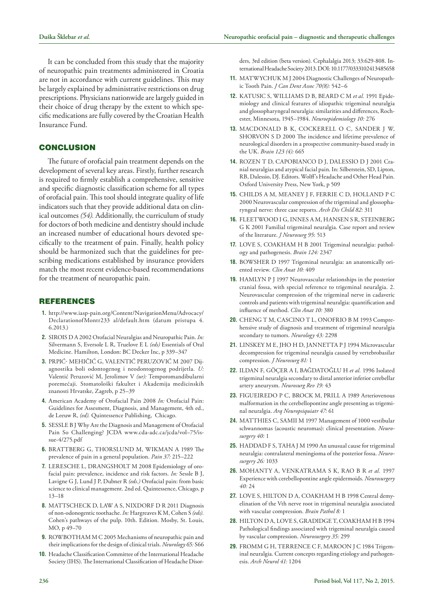It can be concluded from this study that the majority of neuropathic pain treatments administered in Croatia are not in accordance with current guidelines. This may be largely explained by administrative restrictions on drug prescriptions. Physicians nationwide are largely guided in their choice of drug therapy by the extent to which specific medications are fully covered by the Croatian Health Insurance Fund.

#### **CONCLUSION**

The future of orofacial pain treatment depends on the development of several key areas. Firstly, further research is required to firmly establish a comprehensive, sensitive and specific diagnostic classification scheme for all types of orofacial pain. This tool should integrate quality of life indicators such that they provide additional data on clinical outcomes *(54).* Additionally, the curriculum of study for doctors of both medicine and dentistry should include an increased number of educational hours devoted specifically to the treatment of pain. Finally, health policy should be harmonized such that the guidelines for prescribing medications established by insurance providers match the most recent evidence-based recommendations for the treatment of neuropathic pain.

#### **REFERENCES**

- **1.** http://www.iasp-pain.org/Content/NavigationMenu/Advocacy/ DeclarationofMontr233 al/default.htm (datum pristupa 4. 6.2013.)
- **2.** Sirois D A 2002 Orofacial Neuralgias and Neuropathic Pain. *In:* Silvermann S, Eversole L R, Truelove E L *(eds)* Essentials of Oral Medicine. Hamilton, London: BC Decker Inc, p 339–347
- **3.** Prpić- Mehičić G, Valentić Peruzović M 2007 Dijagnostika boli odontogenog i neodontogenog podrijetla. *U:* Valentić Peruzović M, Jerolimov V *(ur):* Temporomandibularni poremećaji. Stomatološki fakultet i Akademija medicinskih znanosti Hrvatske, Zagreb, p 25–39
- **4.** American Academy of Orofacial Pain 2008 *In:* Orofacial Pain: Guidelines for Assesment, Diagnosis, and Management, 4th ed., de Leeuw R, *(ed).* Quintessence Publishing, Chicago.
- **5.** Sessle B J Why Are the Diagnosis and Management of Orofacial Pain So Challenging? JCDA www.cda-adc.ca/jcda/vol–75/issue-4/275.pdf
- **6.** Brattberg G, Thorslund M, Wikman A 1989 The prevalence of pain in a general population. *Pain 37:* 215–222
- 7. LERESCHE L, DRANGSHOLT M 2008 Epidemiology of orofacial pain: prevalence, incidence and risk factors. *In:* Sessle B J, Lavigne G J, Lund J P, Dubner R *(eds.)* Orofacial pain: from basic science to clinical management. 2nd ed. Quintessence, Chicago, p 13–18
- 8. MATTSCHECK D, LAW A S, NIXDORF D R 2011 Diagnosis of non-odonogentic toothache. *In:* Hargreaves K M, Cohen S *(eds).* Cohen's pathways of the pulp. 10th. Edition. Mosby, St. Louis, MO, p 49–70
- **9.** ROWBOTHAM M C 2005 Mechanisms of neuropathic pain and their implications for the design of clinical trials. *Neurology 65:* S66
- **10.** Headache Classification Committee of the International Headache Society (IHS). The International Classification of Headache Disor-

ders, 3rd edition (beta version). Cephalalgia 2013; 33:629-808. International Headache Society 2013. DOI: 10.1177/0333102413485658

- 11. MATWYCHUK M J 2004 Diagnostic Challenges of Neuropathic Tooth Pain. *J Can Dent Assoc 70(8):* 542–6
- **12.** Katusic S, Williams D B, Beard C M *et al.* 1991 Epidemiology and clinical features of idiopathic trigeminal neuralgia and glossopharyngeal neuralgia: similarities and differences, Rochester, Minnesota, 1945–1984. *Neuroepidemiology 10:* 276
- **13.** MacDonald B K, Cockerell O C, Sander J W, SHORVON S D 2000 The incidence and lifetime prevalence of neurological disorders in a prospective community-based study in the UK. *Brain 123 (4):* 665
- **14.** Rozen T D, Capobianco D J, Dalessio D J 2001 Cranial neuralgias and atypical facial pain. In: Silberstein, SD, Lipton, RB, Dalessio, DJ. Editors. Wolff's Headache and Other Head Pain. Oxford University Press, New York, p 509
- **15.** Childs A M, Meaney J F, Ferrie C D, Holland P C 2000 Neurovascular compression of the trigeminal and glossopharyngeal nerve: three case reports. *Arch Dis Child 82:* 311
- **16.** Fleetwood I G, Innes A M, Hansen S R, Steinberg G K 2001 Familial trigeminal neuralgia. Case report and review of the literature. *J Neurosurg 95*: 513
- 17. LOVE S, COAKHAM H B 2001 Trigeminal neuralgia: pathology and pathogenesis. *Brain 124:* 2347
- 18. BOWSHER D 1997 Trigeminal neuralgia: an anatomically oriented review. *Clin Anat 10:* 409
- **19.** Hamlyn P J 1997 Neurovascular relationships in the posterior cranial fossa, with special reference to trigeminal neuralgia. 2. Neurovascular compression of the trigeminal nerve in cadaveric controls and patients with trigeminal neuralgia: quantification and influence of method. *Clin Anat 10:* 380
- **20.** Cheng T M, Cascino T L, Onofrio B M 1993 Comprehensive study of diagnosis and treatment of trigeminal neuralgia secondary to tumors. *Neurology 43:* 2298
- 21. LINSKEY M E, JHO H D, JANNETTA P J 1994 Microvascular decompression for trigeminal neuralgia caused by vertebrobasilar compression. *J Neurosurg 81:* 1
- **22.** Ildan F, Göçer A I, Bağdatoğlu H *et al.* 1996 Isolated trigeminal neuralgia secondary to distal anterior inferior cerebellar artery aneurysm. *Neurosurg Rev 19:* 43
- **23.** Figueiredo P C, Brock M, Prill A 1989 Arteriovenous malformation in the cerebellopontine angle presenting as trigeminal neuralgia. *Arq Neuropsiquiatr 47:* 61
- 24. MATTHIES C, SAMII M 1997 Management of 1000 vestibular schwannomas (acoustic neuromas): clinical presentation. *Neurosurgery 40:* 1
- **25.** HADDAD F S, TAHA J M 1990 An unusual cause for trigeminal neuralgia: contralateral meningioma of the posterior fossa. *Neurosurgery 26:* 1033
- **26.** Mohanty A, Venkatrama S K, Rao B R *et al.* 1997 Experience with cerebellopontine angle epidermoids. *Neurosurgery 40:* 24
- 27. LOVE S, HILTON D A, COAKHAM H B 1998 Central demyelination of the Vth nerve root in trigeminal neuralgia associated with vascular compression. *Brain Pathol 8:* 1
- **28.** Hilton D A, Love S, Gradidge T, Coakham H B 1994 Pathological findings associated with trigeminal neuralgia caused by vascular compression. *Neurosurgery 35:* 299
- **29.** Fromm G H, Terrence C F, Maroon J C 1984 Trigeminal neuralgia. Current concepts regarding etiology and pathogenesis. *Arch Neurol 41:* 1204